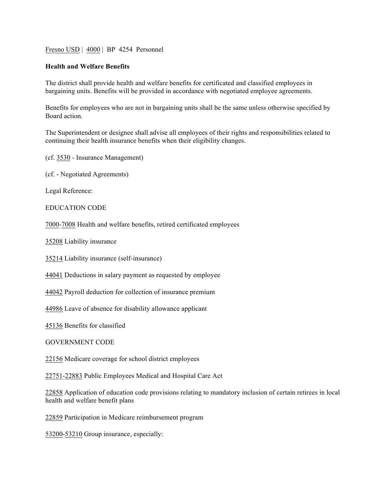## Fresno USD | 4000 | BP 4254 Personnel

## **Health and Welfare Benefits**

The district shall provide health and welfare benefits for certificated and classified employees in bargaining units. Benefits will be provided in accordance with negotiated employee agreements.

Benefits for employees who are not in bargaining units shall be the same unless otherwise specified by Board action.

The Superintendent or designee shall advise all employees of their rights and responsibilities related to continuing their health insurance benefits when their eligibility changes.

(cf. 3530 - Insurance Management)

(cf. - Negotiated Agreements)

Legal Reference:

EDUCATION CODE

7000-7008 Health and welfare benefits, retired certificated employees

35208 Liability insurance

35214 Liability insurance (self-insurance)

44041 Deductions in salary payment as requested by employee

44042 Payroll deduction for collection of insurance premium

44986 Leave of absence for disability allowance applicant

45136 Benefits for classified

GOVERNMENT CODE

22156 Medicare coverage for school district employees

22751-22883 Public Employees Medical and Hospital Care Act

22858 Application of education code provisions relating to mandatory inclusion of certain retirees in local health and welfare benefit plans

22859 Participation in Medicare reimbursement program

53200-53210 Group insurance, especially: